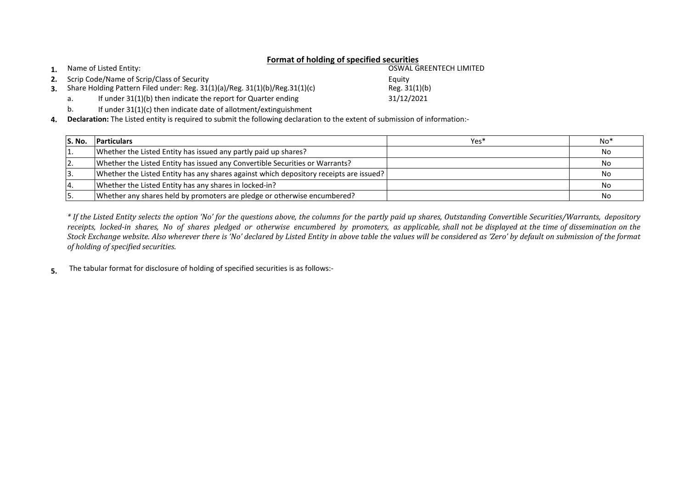## **Format of holding of specified securities**

**1.** Name of Listed Entity:

- **2.** Scrip Code/Name of Scrip/Class of Security
- **3.** Share Holding Pattern Filed under: Reg. 31(1)(a)/Reg. 31(1)(b)/Reg.31(1)(c)
	- a. If under 31(1)(b) then indicate the report for Quarter ending
	- b. If under 31(1)(c) then indicate date of allotment/extinguishment

**4. Declaration:** The Listed entity is required to submit the following declaration to the extent of submission of information:-

| S. No. | <b>Particulars</b>                                                                     | Yes* | No <sup>*</sup> |
|--------|----------------------------------------------------------------------------------------|------|-----------------|
|        | Whether the Listed Entity has issued any partly paid up shares?                        |      | No              |
|        | Whether the Listed Entity has issued any Convertible Securities or Warrants?           |      | No              |
|        | Whether the Listed Entity has any shares against which depository receipts are issued? |      | No              |
|        | Whether the Listed Entity has any shares in locked-in?                                 |      | No              |
|        | Whether any shares held by promoters are pledge or otherwise encumbered?               |      | No              |

\* If the Listed Entity selects the option 'No' for the questions above, the columns for the partly paid up shares, Outstanding Convertible Securities/Warrants, depository receipts, locked-in shares, No of shares pledged or otherwise encumbered by promoters, as applicable, shall not be displayed at the time of dissemination on the Stock Exchange website. Also wherever there is 'No' declared by Listed Entity in above table the values will be considered as 'Zero' by default on submission of the format *of holding of specified securities.*

**5.** The tabular format for disclosure of holding of specified securities is as follows:-

Reg. 31(1)(b) Equity OSWAL GREENTECH LIMITED

31/12/2021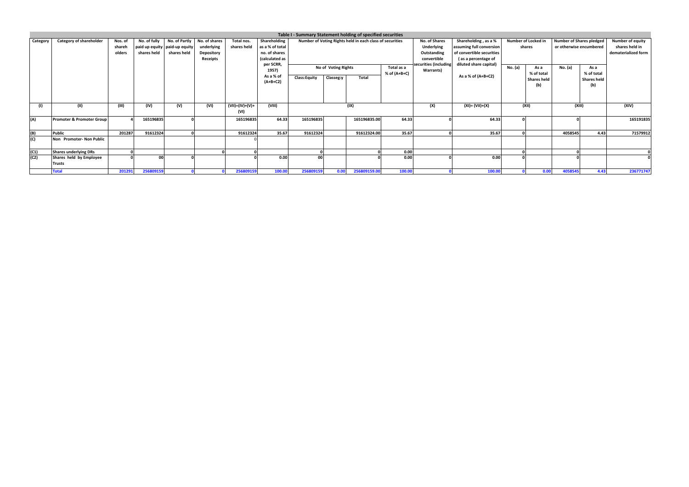|          |                                   |                             |                             |                                                                 |                                                       |                           |                                                                                          |                     |                     | Table I - Summary Statement holding of specified securities |              |                                                                                                       |                                                                                                                                                      |         |                                         |                                                                       |                                         |                                                           |
|----------|-----------------------------------|-----------------------------|-----------------------------|-----------------------------------------------------------------|-------------------------------------------------------|---------------------------|------------------------------------------------------------------------------------------|---------------------|---------------------|-------------------------------------------------------------|--------------|-------------------------------------------------------------------------------------------------------|------------------------------------------------------------------------------------------------------------------------------------------------------|---------|-----------------------------------------|-----------------------------------------------------------------------|-----------------------------------------|-----------------------------------------------------------|
| Category | <b>Category of shareholder</b>    | Nos. of<br>shareh<br>olders | No. of fully<br>shares held | No. of Partly<br>paid up equity   paid-up equity<br>shares held | No. of shares<br>underlying<br>Depository<br>Receipts | Total nos.<br>shares held | Shareholding<br>as a % of total<br>no. of shares<br>(calculated as<br>per SCRR,<br>1957) |                     | No of Voting Rights | Number of Voting Rights held in each class of securities    | Total as a   | No. of Shares<br><b>Underlying</b><br>Outstanding<br>convertible<br>ecurities (including<br>Warrants) | Shareholding, as a %<br>assuming full conversion<br>of convertible securities<br>(as a percentage of<br>diluted share capital)<br>As a % of (A+B+C2) | No. (a) | Number of Locked in<br>shares<br>As a   | <b>Number of Shares pledged</b><br>or otherwise encumbered<br>No. (a) | As a                                    | Number of equity<br>shares held in<br>dematerialized form |
|          |                                   |                             |                             |                                                                 |                                                       |                           | As a % of<br>$(A+B+C2)$                                                                  | <b>Class:Equity</b> | Classeg:y           | Total                                                       | % of (A+B+C) |                                                                                                       |                                                                                                                                                      |         | % of total<br><b>Shares held</b><br>(b) |                                                                       | % of total<br><b>Shares held</b><br>(b) |                                                           |
|          | (11)                              | (III)                       | (IV)                        | (V)                                                             | (VI)                                                  | (VII)=(IV)+(V)+<br>(VI)   | (VIII)                                                                                   |                     |                     | (IX)                                                        |              | (X)                                                                                                   | $(XI) = (VII)+(X)$                                                                                                                                   |         | (XII)                                   | (XIII)                                                                |                                         | (XIV)                                                     |
| (A)      | Promoter & Promoter Group         |                             | 165196835                   |                                                                 |                                                       | 165196835                 | 64.33                                                                                    | 165196835           |                     | 165196835.00                                                | 64.33        |                                                                                                       | 64.33                                                                                                                                                |         |                                         |                                                                       |                                         | 165191835                                                 |
| (B)      | <b>Public</b>                     | 201287                      | 91612324                    |                                                                 |                                                       | 91612324                  | 35.67                                                                                    | 91612324            |                     | 91612324.00                                                 | 35.67        |                                                                                                       | 35.67                                                                                                                                                |         |                                         | 4058545                                                               | 4.43                                    | 71579912                                                  |
| (C)      | Non Promoter-Non Public           |                             |                             |                                                                 |                                                       |                           |                                                                                          |                     |                     |                                                             |              |                                                                                                       |                                                                                                                                                      |         |                                         |                                                                       |                                         |                                                           |
| (C1)     | <b>Shares underlying DRs</b>      |                             |                             |                                                                 |                                                       |                           |                                                                                          |                     |                     |                                                             | 0.00         |                                                                                                       |                                                                                                                                                      |         |                                         |                                                                       |                                         |                                                           |
| (C2)     | Shares held by Employee<br>Trusts |                             | 00                          |                                                                 |                                                       |                           | 0.00                                                                                     | 00                  |                     |                                                             | 0.00         |                                                                                                       | 0.00                                                                                                                                                 |         |                                         |                                                                       |                                         |                                                           |
|          | <b>Total</b>                      | 201291                      | 256809159                   |                                                                 |                                                       | 256809159                 | 100.00                                                                                   | 256809159           | 0.00                | 256809159.00                                                | 100.00       |                                                                                                       | 100.00                                                                                                                                               |         | 0.00                                    | 4058545                                                               | 4.43                                    | 236771747                                                 |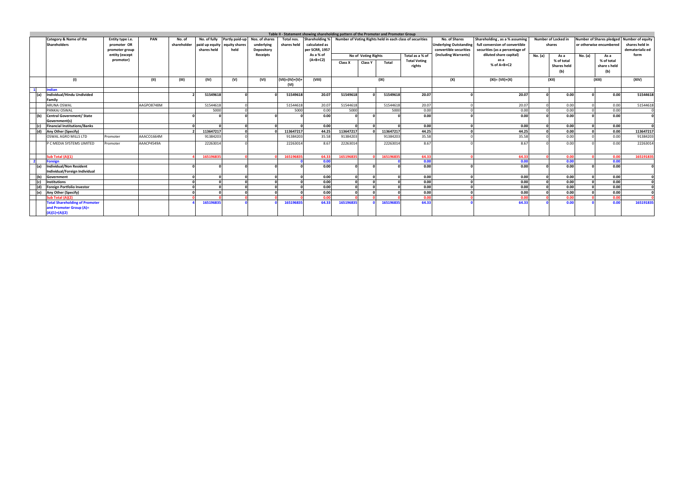|     |                                                   |                                 |            |                       |                              |                             |                              |                           | Table II - Statement showing shareholding pattern of the Promoter and Promoter Group |                                                          |                     |           |                     |                                                                                        |                                |         |                         |         |                                                             |                 |
|-----|---------------------------------------------------|---------------------------------|------------|-----------------------|------------------------------|-----------------------------|------------------------------|---------------------------|--------------------------------------------------------------------------------------|----------------------------------------------------------|---------------------|-----------|---------------------|----------------------------------------------------------------------------------------|--------------------------------|---------|-------------------------|---------|-------------------------------------------------------------|-----------------|
|     | <b>Category &amp; Name of the</b><br>Shareholders | Entity type i.e.<br>promoter OR | <b>PAN</b> | No. of<br>shareholder | paid up equity equity shares | No. of fully Partly paid-up | Nos. of shares<br>underlying | Total nos.<br>shares held | Shareholding %<br>calculated as                                                      | Number of Voting Rights held in each class of securities |                     |           | No. of Shares       | Shareholding, as a % assuming<br>Underlying Outstanding full conversion of convertible | Number of Locked in<br>shares  |         | or otherwise encumbered |         | Number of Shares pledged Number of equity<br>shares held in |                 |
|     |                                                   | promoter group                  |            |                       | shares held                  | held                        | Depository                   |                           | per SCRR, 1957                                                                       |                                                          |                     |           |                     | convertible securities                                                                 | securities (as a percentage of |         |                         |         |                                                             | dematerializ ed |
|     |                                                   | entity (except                  |            |                       |                              |                             | <b>Receipts</b>              |                           | As a % of                                                                            |                                                          | No of Voting Rights |           | Total as a % of     | (including Warrants)                                                                   | diluted share capital)         | No. (a) | As a                    | No. (a) | As a                                                        | form            |
|     |                                                   | promotor)                       |            |                       |                              |                             |                              |                           | $(A+B+C2)$                                                                           | Class X                                                  | <b>Class Y</b>      | Total     | <b>Total Voting</b> |                                                                                        | as a                           |         | % of total              |         | % of total                                                  |                 |
|     |                                                   |                                 |            |                       |                              |                             |                              |                           |                                                                                      |                                                          |                     |           | rights              |                                                                                        | % of A+B+C2                    |         | <b>Shares held</b>      |         | share s held                                                |                 |
|     |                                                   |                                 |            |                       |                              |                             |                              |                           |                                                                                      |                                                          |                     |           |                     |                                                                                        |                                |         | (b)                     |         | (b)                                                         |                 |
|     | (1)                                               |                                 | (II)       | (III)                 | (IV)                         | (V)                         | (VI)                         | $(VII)=(IV)+(V)+$         | (VIII)                                                                               |                                                          |                     | (IX)      |                     | (X)                                                                                    | (XI)= (VII)+(X)                |         | (XII)                   |         | (XIII)                                                      | (XIV)           |
|     |                                                   |                                 |            |                       |                              |                             |                              | (VI)                      |                                                                                      |                                                          |                     |           |                     |                                                                                        |                                |         |                         |         |                                                             |                 |
|     | Indian                                            |                                 |            |                       |                              |                             |                              |                           |                                                                                      |                                                          |                     |           |                     |                                                                                        |                                |         |                         |         |                                                             |                 |
| (a) | Individual/Hindu Undivided                        |                                 |            |                       | 51549618                     |                             |                              | 51549618                  | 20.07                                                                                | 51549618                                                 |                     | 51549618  | 20.07               |                                                                                        | 20.07                          |         | 0.00                    |         | 0.00                                                        | 51544618        |
|     | Family                                            |                                 |            |                       |                              |                             |                              |                           |                                                                                      |                                                          |                     |           |                     |                                                                                        |                                |         |                         |         |                                                             |                 |
|     | <b>ARUNA OSWAL</b>                                |                                 | AAGPO8748M |                       | 51544618                     |                             |                              | 51544618                  | 20.07                                                                                | 51544618                                                 |                     | 51544618  | 20.07               |                                                                                        | 20.07                          |         | 0.00                    |         | 0.00                                                        | 51544618        |
|     | PANKAJ OSWAL                                      |                                 |            |                       | 5000                         |                             |                              | 5000                      | 0.00                                                                                 | 5000                                                     |                     | 5000      | 0.00                |                                                                                        | 0.00                           |         | 0.00                    |         | 0.00                                                        |                 |
| (b) | Central Government/ State                         |                                 |            |                       |                              |                             |                              |                           | 0.00                                                                                 |                                                          |                     |           | 0.00                |                                                                                        | 0.00                           |         | 0.00                    |         | 0.00                                                        |                 |
|     | Government(s)                                     |                                 |            |                       |                              |                             |                              |                           |                                                                                      |                                                          |                     |           |                     |                                                                                        |                                |         |                         |         |                                                             |                 |
|     | <b>Financial Institutions/Banks</b>               |                                 |            |                       |                              |                             |                              |                           | 0.00                                                                                 |                                                          |                     |           | 0.00                |                                                                                        | 0.00                           |         | 0.00                    |         | 0.00                                                        |                 |
|     | (d) Any Other (Specify)                           |                                 |            |                       | 113647217                    |                             |                              | 113647217                 | 44.25                                                                                | 113647217                                                |                     | 113647217 | 44.25               |                                                                                        | 44.25                          |         | 0.00                    |         | 0.00                                                        | 113647217       |
|     | OSWAL AGRO MILLS LTD                              | Promoter                        | AAACO1664M |                       | 91384203                     |                             |                              | 91384203                  | 35.58                                                                                | 91384203                                                 |                     | 91384203  | 35.58               |                                                                                        | 35.58                          |         | 0.00                    |         | 0.00                                                        | 91384203        |
|     | P C MEDIA SYSTEMS LIMITED                         | Promoter                        | AAACP4549A |                       | 22263014                     |                             |                              | 22263014                  | 8.67                                                                                 | 22263014                                                 |                     | 22263014  | 8.67                |                                                                                        | 8.67                           |         | 0.00                    |         | 0.00                                                        | 22263014        |
|     |                                                   |                                 |            |                       |                              |                             |                              |                           |                                                                                      |                                                          |                     |           |                     |                                                                                        |                                |         |                         |         |                                                             |                 |
|     | Sub Total (A)(1)                                  |                                 |            |                       | 165196835                    |                             |                              | 165196835                 | 64.33                                                                                | 165196835                                                |                     | 165196835 | 64.33               |                                                                                        | 64.33                          |         | 0.00                    |         | 0.00                                                        | 165191835       |
|     | <b>Foreign</b>                                    |                                 |            |                       |                              |                             |                              |                           | 0.00                                                                                 |                                                          |                     |           | 0.00                |                                                                                        | 0.00                           |         | 0.00                    |         | 0.00                                                        |                 |
|     | Individual/Non Resident                           |                                 |            |                       |                              |                             |                              |                           | 0.00                                                                                 |                                                          |                     |           | 0.00                |                                                                                        | 0.00                           |         | 0.00                    |         | 0.00                                                        |                 |
|     | Individual/Foreign Individual                     |                                 |            |                       |                              |                             |                              |                           |                                                                                      |                                                          |                     |           |                     |                                                                                        |                                |         |                         |         |                                                             |                 |
|     | (b) Government                                    |                                 |            |                       |                              |                             |                              |                           | 0.00                                                                                 |                                                          |                     |           | 0.00                |                                                                                        | 0.00                           |         | 0.00                    |         | 0.00                                                        |                 |
|     | <b>Institutions</b>                               |                                 |            |                       |                              |                             |                              |                           | 0.00                                                                                 |                                                          |                     |           | 0.00                |                                                                                        | 0.00                           |         | 0.00                    |         | 0.00                                                        |                 |
|     | (d) Foreign Portfolio Investor                    |                                 |            |                       |                              |                             |                              |                           | 0.00                                                                                 |                                                          |                     |           | 0.00                |                                                                                        | 0.00                           |         | 0.00                    |         | 0.00                                                        |                 |
|     | (e) Any Other (Specify)                           |                                 |            |                       |                              |                             |                              |                           | 0.00                                                                                 |                                                          |                     |           | 0.00                |                                                                                        | 0.00                           |         | 0.00                    |         | 0.00                                                        |                 |
|     | Sub Total (A)(2)                                  |                                 |            |                       |                              |                             |                              |                           | 0.00                                                                                 |                                                          |                     |           | 0.00                |                                                                                        | 0.00                           |         | 0.00                    |         | 0.00                                                        |                 |
|     | <b>Total Shareholding of Promoter</b>             |                                 |            |                       | 165196835                    |                             |                              | 165196835                 | 64.33                                                                                | 165196835                                                |                     | 165196835 | 64.33               |                                                                                        | 64.33                          |         | 0.00                    |         | 0.00                                                        | 165191835       |
|     | and Promoter Group (A)=                           |                                 |            |                       |                              |                             |                              |                           |                                                                                      |                                                          |                     |           |                     |                                                                                        |                                |         |                         |         |                                                             |                 |
|     | $(A)(1)+(A)(2)$                                   |                                 |            |                       |                              |                             |                              |                           |                                                                                      |                                                          |                     |           |                     |                                                                                        |                                |         |                         |         |                                                             |                 |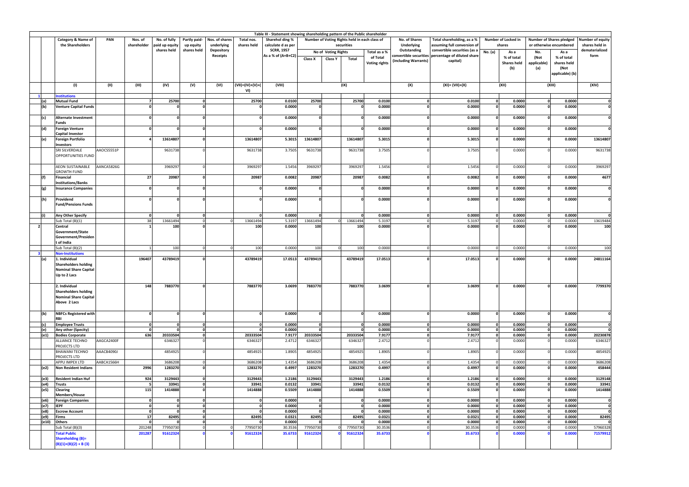|                          | Table III - Statement showing shareholding pattern of the Public shareholder<br>No. of fully<br>Number of Voting Rights held in each class of<br>Number of Locked in<br><b>Number of Shares pledged</b> |                                                                         |                         |                    |                      |                   |                  |                    |                          |                             |          |                      |                            |                              |                                |                    |                  |                  |                            |
|--------------------------|---------------------------------------------------------------------------------------------------------------------------------------------------------------------------------------------------------|-------------------------------------------------------------------------|-------------------------|--------------------|----------------------|-------------------|------------------|--------------------|--------------------------|-----------------------------|----------|----------------------|----------------------------|------------------------------|--------------------------------|--------------------|------------------|------------------|----------------------------|
|                          | <b>Category &amp; Name of</b>                                                                                                                                                                           | PAN                                                                     | Nos. of                 | Partly paid-       | Nos. of shares       | Total nos.        | Sharehol ding %  |                    |                          |                             |          | No. of Shares        | Total shareholding, as a % |                              |                                |                    | Number of equity |                  |                            |
|                          | the Shareholders                                                                                                                                                                                        | shareholder<br>shares held<br>paid up equity<br>up equity<br>underlying |                         | calculate d as per |                      |                   | securities       |                    | <b>Underlying</b>        | assuming full conversion of |          | shares               |                            | or otherwise encumbered      | shares held in                 |                    |                  |                  |                            |
|                          |                                                                                                                                                                                                         |                                                                         |                         | shares held        | shares held          | <b>Depository</b> |                  | <b>SCRR, 1957</b>  |                          | No of Voting Rights         |          | Total as a %         | Outstanding                | convertible securities (as a | No. (a)                        | As a               | No.              | As a             | dematerialized             |
|                          |                                                                                                                                                                                                         |                                                                         |                         |                    |                      | Receipts          |                  | As a % of (A+B+C2) | Class X<br>Class Y       |                             | Total    | of Total             | convertible securities     | percentage of diluted share  |                                | % of total         | (Not             | % of total       | form                       |
|                          |                                                                                                                                                                                                         |                                                                         |                         |                    |                      |                   |                  |                    |                          |                             |          | <b>Voting rights</b> | (including Warrants)       | capital)                     |                                | <b>Shares held</b> | applicable)      | shares held      |                            |
|                          |                                                                                                                                                                                                         |                                                                         |                         |                    |                      |                   |                  |                    |                          |                             |          |                      |                            |                              |                                | (b)                | (a)              | (Not             |                            |
|                          |                                                                                                                                                                                                         |                                                                         |                         |                    |                      |                   |                  |                    |                          |                             |          |                      |                            |                              |                                |                    |                  | applicable) (b)  |                            |
|                          |                                                                                                                                                                                                         |                                                                         |                         |                    |                      |                   |                  |                    |                          |                             |          |                      |                            |                              |                                |                    |                  |                  |                            |
|                          | (1)                                                                                                                                                                                                     | (II)                                                                    | (III)                   | (IV)               | (V)                  | (VI)              | (VII)=(IV)+(V)+( | (VIII)             |                          |                             | (IX)     |                      | (X)                        | (XI)= (VII)+(X)              |                                | (XII)              |                  | (XIII)           | (XIV)                      |
|                          |                                                                                                                                                                                                         |                                                                         |                         |                    |                      |                   | VI)              |                    |                          |                             |          |                      |                            |                              |                                |                    |                  |                  |                            |
|                          | <b>Institutions</b>                                                                                                                                                                                     |                                                                         |                         |                    |                      |                   |                  |                    |                          |                             |          |                      |                            |                              |                                |                    |                  |                  |                            |
| (a)                      | <b>Mutual Fund</b>                                                                                                                                                                                      |                                                                         |                         | 25700              | $\Omega$<br>n        |                   | 25700            | 0.0100             | 25700                    |                             | 25700    | 0.0100               | $\Omega$                   | 0.0100                       | $\mathbf{0}$<br>$\mathbf{0}$   | 0.0000             |                  | 0.0000           |                            |
| (b)                      | <b>Venture Capital Funds</b>                                                                                                                                                                            |                                                                         |                         |                    |                      |                   |                  | 0.0000             |                          |                             |          | 0.0000               |                            | 0.0000                       |                                | 0.0000             |                  | 0.0000           |                            |
| (c)                      | <b>Alternate Investment</b>                                                                                                                                                                             |                                                                         |                         |                    |                      |                   |                  | 0.0000             |                          |                             |          | 0.0000               |                            | 0.0000                       | $\Omega$                       | 0.0000             |                  | 0.0000           |                            |
|                          | <b>Funds</b>                                                                                                                                                                                            |                                                                         |                         |                    |                      |                   |                  |                    |                          |                             |          |                      |                            |                              |                                |                    |                  |                  |                            |
| (d)                      | <b>Foreign Venture</b>                                                                                                                                                                                  |                                                                         | $\Omega$                |                    | $\Omega$             |                   |                  | 0.0000             | $\Omega$                 |                             |          | 0.0000               |                            | 0.0000                       | $\Omega$                       | 0.0000             |                  | 0.0000           | $\Omega$                   |
|                          | Capital Investor                                                                                                                                                                                        |                                                                         |                         |                    |                      |                   |                  |                    |                          |                             |          |                      |                            |                              |                                |                    |                  |                  |                            |
| (e)                      | <b>Foreign Portfolio</b>                                                                                                                                                                                |                                                                         |                         | 13614807           | $\Omega$             |                   | 13614807         | 5.3015             | 13614807                 |                             | 13614807 | 5.3015               |                            | 5.3015                       | $\Omega$                       | 0.0000             |                  | 0.0000           | 13614807                   |
|                          | <b>Investors</b>                                                                                                                                                                                        |                                                                         |                         |                    |                      |                   |                  |                    |                          |                             |          |                      |                            |                              |                                |                    |                  |                  |                            |
|                          | SRI SILVERDALE                                                                                                                                                                                          | AAOCS5551P                                                              |                         | 9631738            | $\Omega$             |                   | 9631738          | 3.7505             | 9631738                  |                             | 9631738  | 3.7505               |                            | 3.7505                       |                                | 0.0000             |                  | 0.0000           | 9631738                    |
|                          | OPPORTUNITIES FUND                                                                                                                                                                                      |                                                                         |                         |                    |                      |                   |                  |                    |                          |                             |          |                      |                            |                              |                                |                    |                  |                  |                            |
|                          |                                                                                                                                                                                                         |                                                                         |                         |                    |                      |                   |                  |                    |                          |                             |          |                      |                            |                              |                                |                    |                  |                  |                            |
|                          | <b>AEON SUSTAINABLE</b>                                                                                                                                                                                 | AANCA5826G                                                              |                         | 3969297            | $\Omega$             |                   | 3969297          | 1.5456             | 3969297                  |                             | 3969297  | 1.5456               | $\Omega$                   | 1.5456                       |                                | 0.0000             |                  | 0.0000           | 3969297                    |
|                          | <b>GROWTH FUND</b>                                                                                                                                                                                      |                                                                         |                         |                    | O                    |                   |                  |                    |                          |                             |          |                      |                            |                              |                                |                    |                  |                  |                            |
| (f)                      | Financial                                                                                                                                                                                               |                                                                         | 27                      | 20987              |                      |                   | 20987            | 0.0082             | 20987                    |                             | 20987    | 0.0082               |                            | 0.0082                       |                                | 0.0000             |                  | 0.0000           | 4677                       |
| (g)                      | <b>Institutions/Banks</b><br><b>Insurance Companies</b>                                                                                                                                                 |                                                                         |                         |                    | $\sqrt{2}$           |                   |                  | 0.0000             | n                        |                             |          | 0.0000               |                            | 0.0000                       |                                | 0.0000             |                  | 0.0000           | $\mathbf 0$                |
|                          |                                                                                                                                                                                                         |                                                                         |                         |                    |                      |                   |                  |                    |                          |                             |          |                      |                            |                              |                                |                    |                  |                  |                            |
| (h)                      | Providend                                                                                                                                                                                               |                                                                         |                         |                    |                      |                   |                  | 0.0000             |                          |                             |          | 0.0000               |                            | 0.0000                       |                                | 0.0000             |                  | 0.0000           | $\Omega$                   |
|                          | <b>Fund/Pensions Funds</b>                                                                                                                                                                              |                                                                         |                         |                    |                      |                   |                  |                    |                          |                             |          |                      |                            |                              |                                |                    |                  |                  |                            |
|                          |                                                                                                                                                                                                         |                                                                         |                         |                    |                      |                   |                  |                    |                          |                             |          |                      |                            |                              |                                |                    |                  |                  |                            |
| (i)                      | Any Other Specify                                                                                                                                                                                       |                                                                         | - 0                     |                    | $\Omega$             |                   |                  | 0.0000             | $\Omega$                 |                             |          | 0.0000               | 0                          | 0.0000                       | $\mathbf{0}$                   | 0.0000             |                  | 0.0000           | $\Omega$                   |
|                          | Sub Total (B)(1)                                                                                                                                                                                        |                                                                         | 38                      | 13661494           | $\Omega$             |                   | 13661494         | 5.3197             | 13661494                 | $\Omega$                    | 13661494 | 5.3197               | $\Omega$                   | 5.3197                       | $\overline{0}$                 | 0.0000             |                  | 0.0000           | 13619484                   |
| $\overline{\phantom{a}}$ | Central                                                                                                                                                                                                 |                                                                         |                         | 100                |                      |                   | 100              | 0.0000             | 100                      |                             | 100      | 0.0000               |                            | 0.0000                       | $\Omega$                       | 0.0000             |                  | 0.0000           | 100                        |
|                          | Government/State                                                                                                                                                                                        |                                                                         |                         |                    |                      |                   |                  |                    |                          |                             |          |                      |                            |                              |                                |                    |                  |                  |                            |
|                          | Government/Presiden                                                                                                                                                                                     |                                                                         |                         |                    |                      |                   |                  |                    |                          |                             |          |                      |                            |                              |                                |                    |                  |                  |                            |
|                          | t of India                                                                                                                                                                                              |                                                                         |                         |                    |                      |                   |                  |                    |                          |                             |          |                      |                            |                              |                                |                    |                  |                  |                            |
|                          | Sub Total (B)(2)                                                                                                                                                                                        |                                                                         |                         | 100                | $\Omega$             |                   | 100              | 0.0000             | 100                      |                             | 100      | 0.0000               | $\Omega$                   | 0.0000                       | $\Omega$                       | 0.0000             |                  | 0.0000           | 100                        |
|                          | <b>Non-Institutions</b><br>1. Individual                                                                                                                                                                |                                                                         | 196407                  | 43789419           | n                    |                   | 43789419         |                    | 43789419                 |                             | 43789419 | 17.0513              |                            | 17.0513                      |                                | 0.0000             |                  | 0.0000           | 24811164                   |
| (a)                      | <b>Shareholders holding</b>                                                                                                                                                                             |                                                                         |                         |                    |                      |                   |                  | 17.0513            |                          |                             |          |                      |                            |                              |                                |                    |                  |                  |                            |
|                          | <b>Nominal Share Capital</b>                                                                                                                                                                            |                                                                         |                         |                    |                      |                   |                  |                    |                          |                             |          |                      |                            |                              |                                |                    |                  |                  |                            |
|                          | Up to 2 Lacs                                                                                                                                                                                            |                                                                         |                         |                    |                      |                   |                  |                    |                          |                             |          |                      |                            |                              |                                |                    |                  |                  |                            |
|                          |                                                                                                                                                                                                         |                                                                         |                         |                    |                      |                   |                  |                    |                          |                             |          |                      |                            |                              |                                |                    |                  |                  |                            |
|                          | 2. Individual                                                                                                                                                                                           |                                                                         | 148                     | 7883770            | $\Omega$             |                   | 7883770          | 3.0699             | 7883770                  |                             | 7883770  | 3.0699               |                            | 3.0699                       |                                | 0.0000             |                  | 0.0000           | 7799370                    |
|                          | <b>Shareholders holding</b>                                                                                                                                                                             |                                                                         |                         |                    |                      |                   |                  |                    |                          |                             |          |                      |                            |                              |                                |                    |                  |                  |                            |
|                          | <b>Nominal Share Capital</b>                                                                                                                                                                            |                                                                         |                         |                    |                      |                   |                  |                    |                          |                             |          |                      |                            |                              |                                |                    |                  |                  |                            |
|                          | Above 2 Lacs                                                                                                                                                                                            |                                                                         |                         |                    |                      |                   |                  |                    |                          |                             |          |                      |                            |                              |                                |                    |                  |                  |                            |
|                          |                                                                                                                                                                                                         |                                                                         |                         |                    |                      |                   |                  |                    |                          |                             |          |                      |                            |                              |                                |                    |                  |                  |                            |
| (b)                      | <b>NBFCs Registered with</b>                                                                                                                                                                            |                                                                         | $\Omega$                |                    | O                    |                   |                  | 0.0000             | <sup>n</sup>             |                             |          | 0.0000               |                            | 0.0000                       | $\mathbf{0}$                   | 0.0000             |                  | 0.0000           | $\mathbf{0}$               |
|                          | <b>RBI</b>                                                                                                                                                                                              |                                                                         |                         |                    |                      |                   |                  |                    |                          |                             |          |                      |                            |                              |                                |                    |                  |                  |                            |
| (c)                      | <b>Employee Trusts</b>                                                                                                                                                                                  |                                                                         | 0<br>$\Omega$           |                    | $\Omega$<br>$\Omega$ |                   | 0<br>$\Omega$    | 0.0000<br>0.0000   | 0.<br>$\Omega$           |                             |          | 0.0000<br>0.0000     | 0                          | 0.0000<br>0.0000             | $\mathbf{0}$<br>$\mathbf{0}$   | 0.0000<br>0.0000   |                  | 0.0000<br>0.0000 | $\mathbf{0}$<br>$\Omega$   |
| (e)<br>(e1)              | Any other (Specity)<br><b>Bodies Corporate</b>                                                                                                                                                          |                                                                         | 636                     | 20333504           | $\Omega$             |                   | 20333504         | 7.9177             | 20333504                 |                             | 20333504 | 7.9177               | <sup>0</sup>               | 7.9177                       | $\mathbf{0}$                   | 0.0000             |                  | 0.0000           | 20230878                   |
|                          | ALLIANCE TECHNO                                                                                                                                                                                         | AAGCA2400F                                                              |                         | 6346327            | $\Omega$             |                   | 6346327          | 2.4712             | 6346327                  |                             | 6346327  | 2.4712               |                            | 2.4712                       | $\Omega$                       | 0.0000             |                  | 0.0000           | 6346327                    |
|                          | PROJECTS LTD                                                                                                                                                                                            |                                                                         |                         |                    |                      |                   |                  |                    |                          |                             |          |                      |                            |                              |                                |                    |                  |                  |                            |
|                          | <b>BHAWANI TECHNO</b>                                                                                                                                                                                   | AAACB4090J                                                              |                         | 4854925            |                      |                   | 4854925          | 1.8905             | 4854925                  |                             | 4854925  | 1.8905               |                            | 1.8905                       |                                | 0.0000             |                  | 0.0000           | 4854925                    |
|                          | PROJECTS LTD                                                                                                                                                                                            |                                                                         |                         |                    |                      |                   |                  |                    |                          |                             |          |                      |                            |                              |                                |                    |                  |                  |                            |
|                          | APPU IMPEX LTD                                                                                                                                                                                          | AABCA1566H                                                              |                         | 3686208            | $\Omega$             |                   | 3686208          | 1.4354             | 3686208                  |                             | 3686208  | 1.4354               |                            | 1.4354                       | $\overline{0}$                 | 0.0000             |                  | 0.0000           | 3686208                    |
| (e2)                     | <b>Non Resident Indians</b>                                                                                                                                                                             |                                                                         | 2996                    | 1283270            | $\Omega$             |                   | 1283270          | 0.4997             | 1283270                  |                             | 1283270  | 0.4997               |                            | 0.4997                       | $\mathbf{0}$                   | 0.0000             |                  | 0.0000           | 458444                     |
|                          |                                                                                                                                                                                                         |                                                                         |                         |                    |                      |                   |                  |                    |                          |                             |          |                      |                            |                              |                                |                    |                  |                  |                            |
| (e3)                     | <b>Resident Indian Huf</b>                                                                                                                                                                              |                                                                         | 924                     | 3129443            | $\Omega$             |                   | 3129443          | 1.2186             | 3129443                  |                             | 3129443  | 1.2186               | 0                          | 1.2186                       | $\overline{0}$                 | 0.0000             | $\Omega$         | 0.0000           | 3129148                    |
| (e4)                     | <b>Trusts</b>                                                                                                                                                                                           |                                                                         |                         | 33941              | $\Omega$             |                   | 33941            | 0.0132             | 33941                    |                             | 33941    | 0.0132               |                            | 0.0132                       | $\mathbf{0}$                   | 0.0000             |                  | 0.0000           | 33941                      |
| (e5)                     | Clearing                                                                                                                                                                                                |                                                                         | 115                     | 1414888            | n                    |                   | 1414888          | 0.5509             | 1414888                  |                             | 1414888  | 0.5509               |                            | 0.5509                       | $\mathbf{0}$                   | 0.0000             |                  | 0.0000           | 1414888                    |
|                          | Members/House                                                                                                                                                                                           |                                                                         |                         |                    |                      |                   |                  |                    |                          |                             |          |                      |                            |                              |                                |                    |                  |                  |                            |
| (e6)<br>(e7)             | <b>Foreign Companies</b><br><b>IEPF</b>                                                                                                                                                                 |                                                                         | $\mathbf 0$<br>$\Omega$ |                    | $\Omega$<br>$\Omega$ |                   |                  | 0.0000<br>0.0000   | $\mathbf{0}$<br>$\Omega$ |                             |          | 0.0000<br>0.0000     | 0<br>$\Omega$              | 0.0000<br>0.0000             | $\overline{0}$<br>$\mathbf{0}$ | 0.0000<br>0.0000   |                  | 0.0000<br>0.0000 | $\mathbf 0$<br>$\mathbf 0$ |
| (e8)                     | <b>Escrow Account</b>                                                                                                                                                                                   |                                                                         | $\mathbf{0}$            |                    | $\Omega$             |                   |                  | 0.0000             | <sup>n</sup>             |                             |          | 0.0000               | $\Omega$                   | 0.0000                       | 0                              | 0.0000             | $\Omega$         | 0.0000           | $\Omega$                   |
| (e9)                     | <b>Firms</b>                                                                                                                                                                                            |                                                                         | 17                      | 82495              | $\Omega$             |                   | 82495            | 0.0321             | 82495                    |                             | 82495    | 0.0321               | 0                          | 0.0321                       | $\mathbf{0}$                   | 0.0000             |                  | 0.0000           | 82495                      |
| (e10)                    | <b>Others</b>                                                                                                                                                                                           |                                                                         | $\Omega$                |                    | $\Omega$             |                   |                  | 0.0000             | $\Omega$                 |                             |          | 0.0000               |                            | 0.0000                       | $\overline{0}$                 | 0.0000             | $\Omega$         | 0.0000           | $\Omega$                   |
|                          | Sub Total (B)(3)                                                                                                                                                                                        |                                                                         | 201248                  | 77950730           | $\Omega$             |                   | 77950730         | 30.3536            | 77950730                 |                             | 77950730 | 30.3536              |                            | 30.3536                      | $\overline{0}$                 | 0.0000             |                  | 0.0000           | 57960328                   |
|                          | <b>Total Public</b>                                                                                                                                                                                     |                                                                         | 201287                  | 91612324           |                      |                   | 91612324         | 35.6733            | 91612324                 |                             | 91612324 | 35.6733              |                            | 35.6733                      |                                | 0.0000             |                  | 0.0000           | 71579912                   |
|                          | <b>Shareholding (B)=</b>                                                                                                                                                                                |                                                                         |                         |                    |                      |                   |                  |                    |                          |                             |          |                      |                            |                              |                                |                    |                  |                  |                            |
|                          | $(B)(1)+(B)(2) + B(3)$                                                                                                                                                                                  |                                                                         |                         |                    |                      |                   |                  |                    |                          |                             |          |                      |                            |                              |                                |                    |                  |                  |                            |
|                          |                                                                                                                                                                                                         |                                                                         |                         |                    |                      |                   |                  |                    |                          |                             |          |                      |                            |                              |                                |                    |                  |                  |                            |